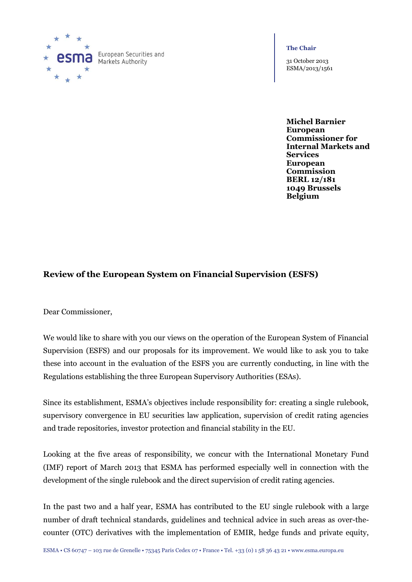

European Securities and Markets Authority

#### **The Chair**

31 October 2013 ESMA/2013/1561

**Michel Barnier European Commissioner for Internal Markets and Services European Commission BERL 12/181 1049 Brussels Belgium**

# **Review of the European System on Financial Supervision (ESFS)**

Dear Commissioner,

We would like to share with you our views on the operation of the European System of Financial Supervision (ESFS) and our proposals for its improvement. We would like to ask you to take these into account in the evaluation of the ESFS you are currently conducting, in line with the Regulations establishing the three European Supervisory Authorities (ESAs).

Since its establishment, ESMA's objectives include responsibility for: creating a single rulebook, supervisory convergence in EU securities law application, supervision of credit rating agencies and trade repositories, investor protection and financial stability in the EU.

Looking at the five areas of responsibility, we concur with the International Monetary Fund (IMF) report of March 2013 that ESMA has performed especially well in connection with the development of the single rulebook and the direct supervision of credit rating agencies.

In the past two and a half year, ESMA has contributed to the EU single rulebook with a large number of draft technical standards, guidelines and technical advice in such areas as over-thecounter (OTC) derivatives with the implementation of EMIR, hedge funds and private equity,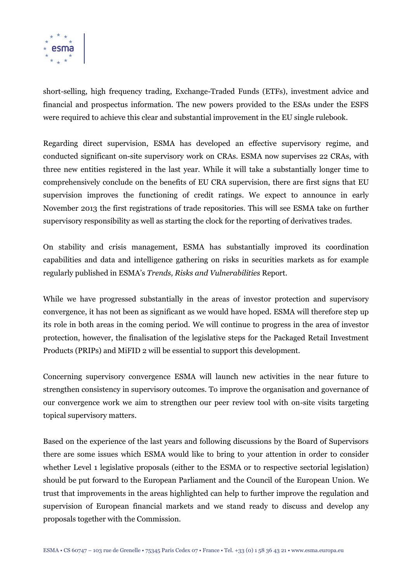

short-selling, high frequency trading, Exchange-Traded Funds (ETFs), investment advice and financial and prospectus information. The new powers provided to the ESAs under the ESFS were required to achieve this clear and substantial improvement in the EU single rulebook.

Regarding direct supervision, ESMA has developed an effective supervisory regime, and conducted significant on-site supervisory work on CRAs. ESMA now supervises 22 CRAs, with three new entities registered in the last year. While it will take a substantially longer time to comprehensively conclude on the benefits of EU CRA supervision, there are first signs that EU supervision improves the functioning of credit ratings. We expect to announce in early November 2013 the first registrations of trade repositories. This will see ESMA take on further supervisory responsibility as well as starting the clock for the reporting of derivatives trades.

On stability and crisis management, ESMA has substantially improved its coordination capabilities and data and intelligence gathering on risks in securities markets as for example regularly published in ESMA's *Trends, Risks and Vulnerabilities* Report.

While we have progressed substantially in the areas of investor protection and supervisory convergence, it has not been as significant as we would have hoped. ESMA will therefore step up its role in both areas in the coming period. We will continue to progress in the area of investor protection, however, the finalisation of the legislative steps for the Packaged Retail Investment Products (PRIPs) and MiFID 2 will be essential to support this development.

Concerning supervisory convergence ESMA will launch new activities in the near future to strengthen consistency in supervisory outcomes. To improve the organisation and governance of our convergence work we aim to strengthen our peer review tool with on-site visits targeting topical supervisory matters.

Based on the experience of the last years and following discussions by the Board of Supervisors there are some issues which ESMA would like to bring to your attention in order to consider whether Level 1 legislative proposals (either to the ESMA or to respective sectorial legislation) should be put forward to the European Parliament and the Council of the European Union. We trust that improvements in the areas highlighted can help to further improve the regulation and supervision of European financial markets and we stand ready to discuss and develop any proposals together with the Commission.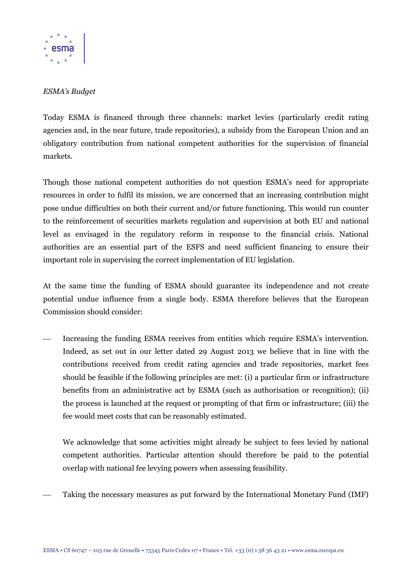

### *ESMA's Budget*

Today ESMA is financed through three channels: market levies (particularly credit rating agencies and, in the near future, trade repositories), a subsidy from the European Union and an obligatory contribution from national competent authorities for the supervision of financial markets.

Though those national competent authorities do not question ESMA's need for appropriate resources in order to fulfil its mission, we are concerned that an increasing contribution might pose undue difficulties on both their current and/or future functioning. This would run counter to the reinforcement of securities markets regulation and supervision at both EU and national level as envisaged in the regulatory reform in response to the financial crisis. National authorities are an essential part of the ESFS and need sufficient financing to ensure their important role in supervising the correct implementation of EU legislation.

At the same time the funding of ESMA should guarantee its independence and not create potential undue influence from a single body. ESMA therefore believes that the European Commission should consider:

 Increasing the funding ESMA receives from entities which require ESMA's intervention. Indeed, as set out in our letter dated 29 August 2013 we believe that in line with the contributions received from credit rating agencies and trade repositories, market fees should be feasible if the following principles are met: (i) a particular firm or infrastructure benefits from an administrative act by ESMA (such as authorisation or recognition); (ii) the process is launched at the request or prompting of that firm or infrastructure; (iii) the fee would meet costs that can be reasonably estimated.

We acknowledge that some activities might already be subject to fees levied by national competent authorities. Particular attention should therefore be paid to the potential overlap with national fee levying powers when assessing feasibility.

Taking the necessary measures as put forward by the International Monetary Fund (IMF)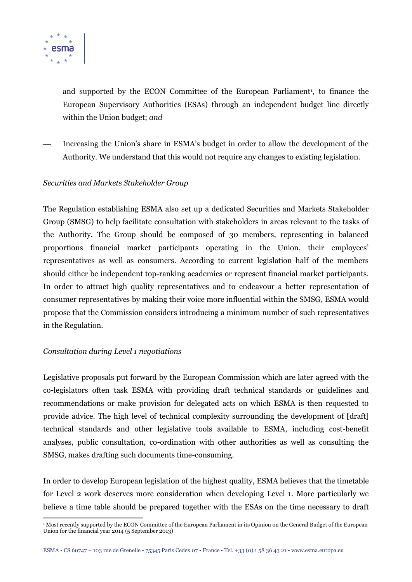

and supported by the ECON Committee of the European Parliament<sup>1</sup>, to finance the European Supervisory Authorities (ESAs) through an independent budget line directly within the Union budget; *and*

 Increasing the Union's share in ESMA's budget in order to allow the development of the Authority. We understand that this would not require any changes to existing legislation.

#### *Securities and Markets Stakeholder Group*

The Regulation establishing ESMA also set up a dedicated Securities and Markets Stakeholder Group (SMSG) to help facilitate consultation with stakeholders in areas relevant to the tasks of the Authority. The Group should be composed of 30 members, representing in balanced proportions financial market participants operating in the Union, their employees' representatives as well as consumers. According to current legislation half of the members should either be independent top-ranking academics or represent financial market participants. In order to attract high quality representatives and to endeavour a better representation of consumer representatives by making their voice more influential within the SMSG, ESMA would propose that the Commission considers introducing a minimum number of such representatives in the Regulation.

#### *Consultation during Level 1 negotiations*

Legislative proposals put forward by the European Commission which are later agreed with the co-legislators often task ESMA with providing draft technical standards or guidelines and recommendations or make provision for delegated acts on which ESMA is then requested to provide advice. The high level of technical complexity surrounding the development of [draft] technical standards and other legislative tools available to ESMA, including cost-benefit analyses, public consultation, co-ordination with other authorities as well as consulting the SMSG, makes drafting such documents time-consuming.

In order to develop European legislation of the highest quality, ESMA believes that the timetable for Level 2 work deserves more consideration when developing Level 1. More particularly we believe a time table should be prepared together with the ESAs on the time necessary to draft

 $\overline{a}$ <sup>1</sup> Most recently supported by the ECON Committee of the European Parliament in its Opinion on the General Budget of the European Union for the financial year 2014 (5 September 2013)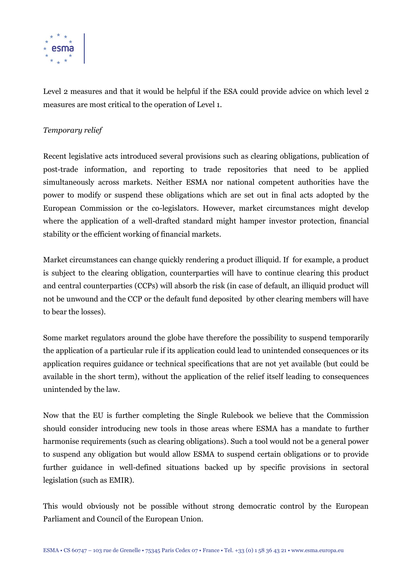

Level 2 measures and that it would be helpful if the ESA could provide advice on which level 2 measures are most critical to the operation of Level 1.

# *Temporary relief*

Recent legislative acts introduced several provisions such as clearing obligations, publication of post-trade information, and reporting to trade repositories that need to be applied simultaneously across markets. Neither ESMA nor national competent authorities have the power to modify or suspend these obligations which are set out in final acts adopted by the European Commission or the co-legislators. However, market circumstances might develop where the application of a well-drafted standard might hamper investor protection, financial stability or the efficient working of financial markets.

Market circumstances can change quickly rendering a product illiquid. If for example, a product is subject to the clearing obligation, counterparties will have to continue clearing this product and central counterparties (CCPs) will absorb the risk (in case of default, an illiquid product will not be unwound and the CCP or the default fund deposited by other clearing members will have to bear the losses).

Some market regulators around the globe have therefore the possibility to suspend temporarily the application of a particular rule if its application could lead to unintended consequences or its application requires guidance or technical specifications that are not yet available (but could be available in the short term), without the application of the relief itself leading to consequences unintended by the law.

Now that the EU is further completing the Single Rulebook we believe that the Commission should consider introducing new tools in those areas where ESMA has a mandate to further harmonise requirements (such as clearing obligations). Such a tool would not be a general power to suspend any obligation but would allow ESMA to suspend certain obligations or to provide further guidance in well-defined situations backed up by specific provisions in sectoral legislation (such as EMIR).

This would obviously not be possible without strong democratic control by the European Parliament and Council of the European Union.